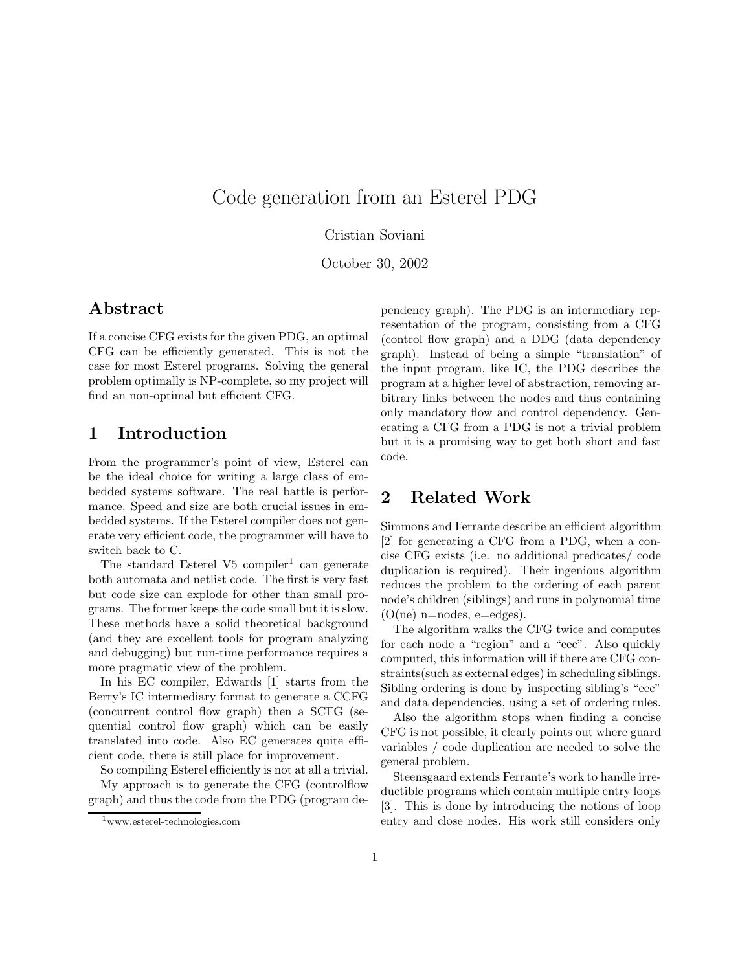# Code generation from an Esterel PDG

Cristian Soviani

October 30, 2002

### Abstract

If a concise CFG exists for the given PDG, an optimal CFG can be efficiently generated. This is not the case for most Esterel programs. Solving the general problem optimally is NP-complete, so my project will find an non-optimal but efficient CFG.

### 1 Introduction

From the programmer's point of view, Esterel can be the ideal choice for writing a large class of embedded systems software. The real battle is performance. Speed and size are both crucial issues in embedded systems. If the Esterel compiler does not generate very efficient code, the programmer will have to switch back to C.

The standard Esterel  $V5$  compiler<sup>1</sup> can generate both automata and netlist code. The first is very fast but code size can explode for other than small programs. The former keeps the code small but it is slow. These methods have a solid theoretical background (and they are excellent tools for program analyzing and debugging) but run-time performance requires a more pragmatic view of the problem.

In his EC compiler, Edwards [1] starts from the Berry's IC intermediary format to generate a CCFG (concurrent control flow graph) then a SCFG (sequential control flow graph) which can be easily translated into code. Also EC generates quite efficient code, there is still place for improvement.

So compiling Esterel efficiently is not at all a trivial.

My approach is to generate the CFG (controlflow graph) and thus the code from the PDG (program dependency graph). The PDG is an intermediary representation of the program, consisting from a CFG (control flow graph) and a DDG (data dependency graph). Instead of being a simple "translation" of the input program, like IC, the PDG describes the program at a higher level of abstraction, removing arbitrary links between the nodes and thus containing only mandatory flow and control dependency. Generating a CFG from a PDG is not a trivial problem but it is a promising way to get both short and fast code.

# 2 Related Work

Simmons and Ferrante describe an efficient algorithm [2] for generating a CFG from a PDG, when a concise CFG exists (i.e. no additional predicates/ code duplication is required). Their ingenious algorithm reduces the problem to the ordering of each parent node's children (siblings) and runs in polynomial time  $(O(ne)$  n=nodes, e=edges).

The algorithm walks the CFG twice and computes for each node a "region" and a "eec". Also quickly computed, this information will if there are CFG constraints(such as external edges) in scheduling siblings. Sibling ordering is done by inspecting sibling's "eec" and data dependencies, using a set of ordering rules.

Also the algorithm stops when finding a concise CFG is not possible, it clearly points out where guard variables / code duplication are needed to solve the general problem.

Steensgaard extends Ferrante's work to handle irreductible programs which contain multiple entry loops [3]. This is done by introducing the notions of loop entry and close nodes. His work still considers only

<sup>1</sup>www.esterel-technologies.com